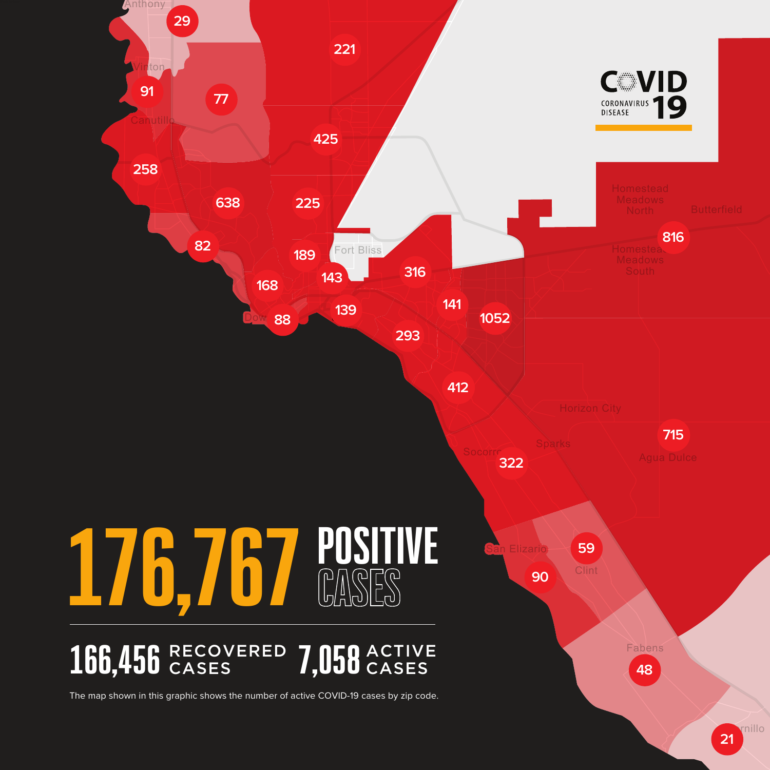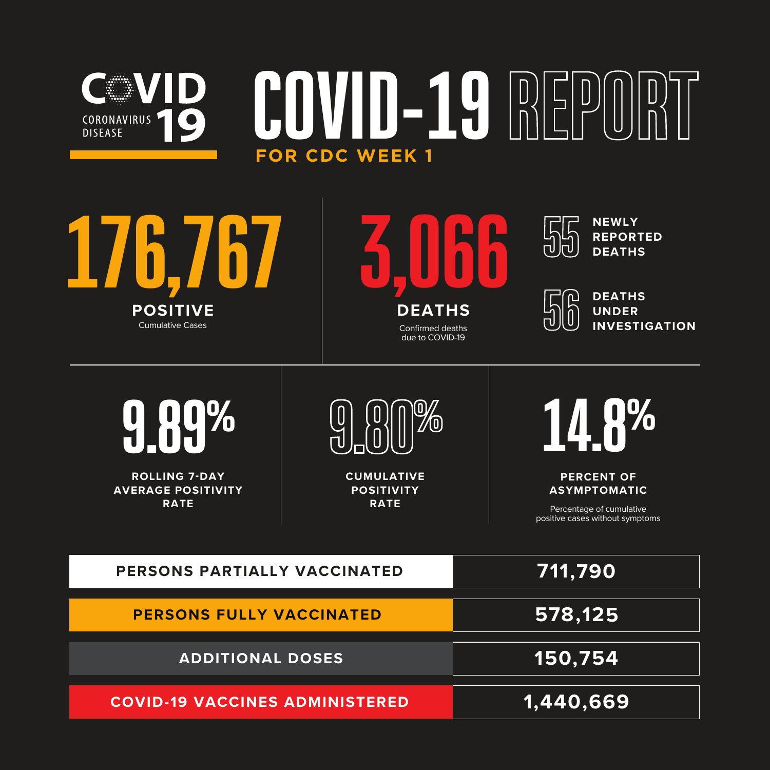## COVID-19 REP **WVID** CORONAVIRUS<sup>T</sup> **DISEASE FOR CDC WEEK 1**





**NEWLY REPORTED** —<br>П **DEATHS**



**DEATHS UNDER INVESTIGATION** 



**ROLLING 7-DAY AVERAGE POSITIVITY RATE**



**CUMULATIVE POSITIVITY RATE**



**PERCENT OF ASYMPTOMATIC**

Percentage of cumulative positive cases without symptoms

| PERSONS PARTIALLY VACCINATED          | 711,790   |
|---------------------------------------|-----------|
| <b>PERSONS FULLY VACCINATED</b>       | 578,125   |
| <b>ADDITIONAL DOSES</b>               | 150,754   |
| <b>COVID-19 VACCINES ADMINISTERED</b> | 1,440,669 |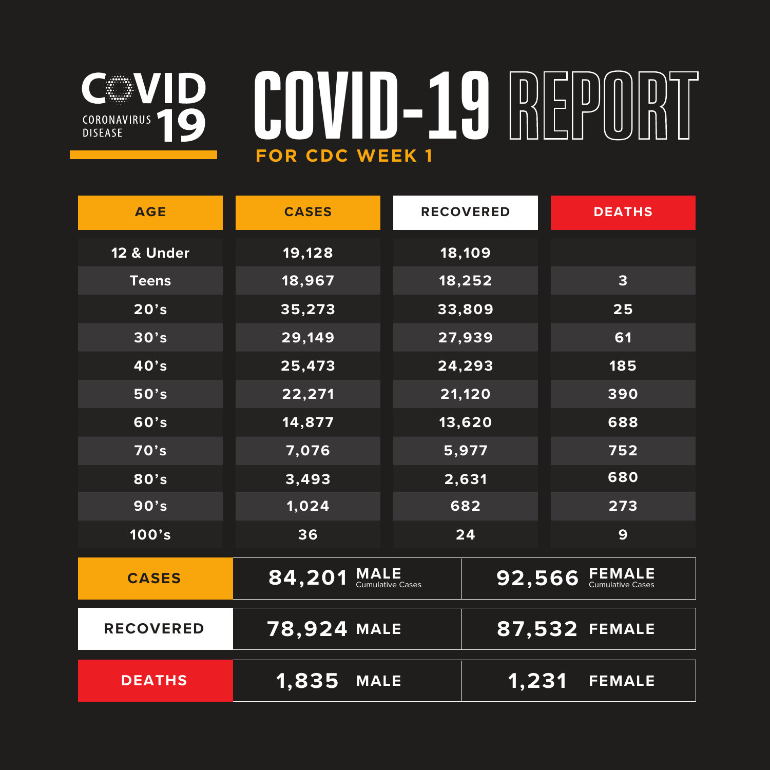## **EXAMPLE** CORONAVIRUS

## COVID-19 REPORT **FOR CDC WEEK 1**

| <b>AGE</b>            | <b>CASES</b>                   | <b>RECOVERED</b> | <b>DEATHS</b>          |
|-----------------------|--------------------------------|------------------|------------------------|
| <b>12 &amp; Under</b> | 19,128                         | 18,109           |                        |
| <b>Teens</b>          | 18,967                         | 18,252           | 3                      |
| 20's                  | 35,273                         | 33,809           | 25                     |
| 30's                  | 29,149                         | 27,939           | 61                     |
| 40's                  | 25,473                         | 24,293           | 185                    |
| 50's                  | 22,271                         | 21,120           | 390                    |
| 60's                  | 14,877                         | 13,620           | 688                    |
| 70's                  | 7,076                          | 5,977            | 752                    |
| 80's                  | 3,493                          | 2,631            | 680                    |
| 90's                  | 1,024                          | 682              | 273                    |
| 100's                 | 36                             | 24               | 9                      |
| <b>CASES</b>          | $84,201$ MALE Cumulative Cases |                  | 92,566 FEMALE          |
| <b>RECOVERED</b>      | <b>78,924 MALE</b>             |                  | 87,532 FEMALE          |
| <b>DEATHS</b>         | <b>1,835 MALE</b>              |                  | 1,231<br><b>FEMALE</b> |